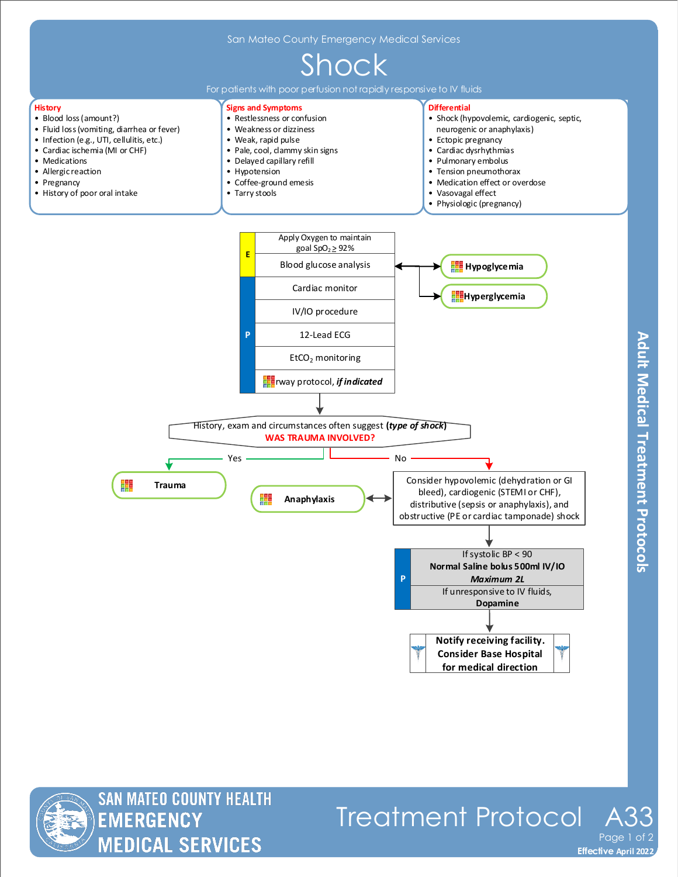

**Adult Medical Treatment Protocols** 



Treatment Protocol